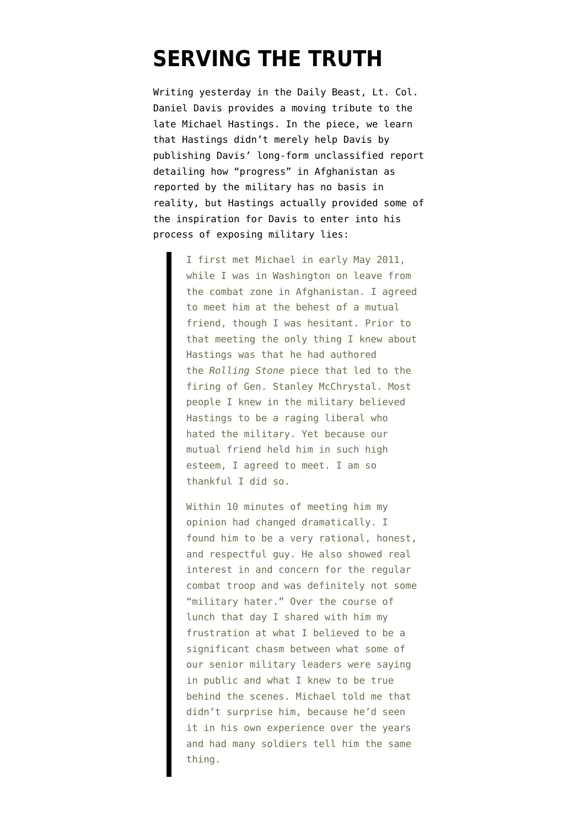## **[SERVING THE TRUTH](https://www.emptywheel.net/2013/07/05/serving-the-truth/)**

Writing yesterday in the [Daily Beast, Lt. Col.](http://www.thedailybeast.com/articles/2013/07/04/thank-you-for-your-service-remembering-michael-hastings.html) [Daniel Davis](http://www.thedailybeast.com/articles/2013/07/04/thank-you-for-your-service-remembering-michael-hastings.html) provides a moving tribute to the late Michael Hastings. In the piece, we learn that Hastings didn't merely help Davis by [publishing Davis' long-form unclassified report](http://www.emptywheel.net/2012/02/11/lt-col-daniel-davis-truth-telling-continues-long-report-published-by-rolling-stone/) detailing how "progress" in Afghanistan as reported by the military has no basis in reality, but Hastings actually provided some of the inspiration for Davis to enter into his process of exposing military lies:

> I first met Michael in early May 2011, while I was in Washington on leave from the combat zone in Afghanistan. I agreed to meet him at the behest of a mutual friend, though I was hesitant. Prior to that meeting the only thing I knew about Hastings was that he had authored the *Rolling Stone* piece that led to the firing of Gen. Stanley McChrystal. Most people I knew in the military believed Hastings to be a raging liberal who hated the military. Yet because our mutual friend held him in such high esteem, I agreed to meet. I am so thankful I did so.

> Within 10 minutes of meeting him my opinion had changed dramatically. I found him to be a very rational, honest, and respectful guy. He also showed real interest in and concern for the regular combat troop and was definitely not some "military hater." Over the course of lunch that day I shared with him my frustration at what I believed to be a significant chasm between what some of our senior military leaders were saying in public and what I knew to be true behind the scenes. Michael told me that didn't surprise him, because he'd seen it in his own experience over the years and had many soldiers tell him the same thing.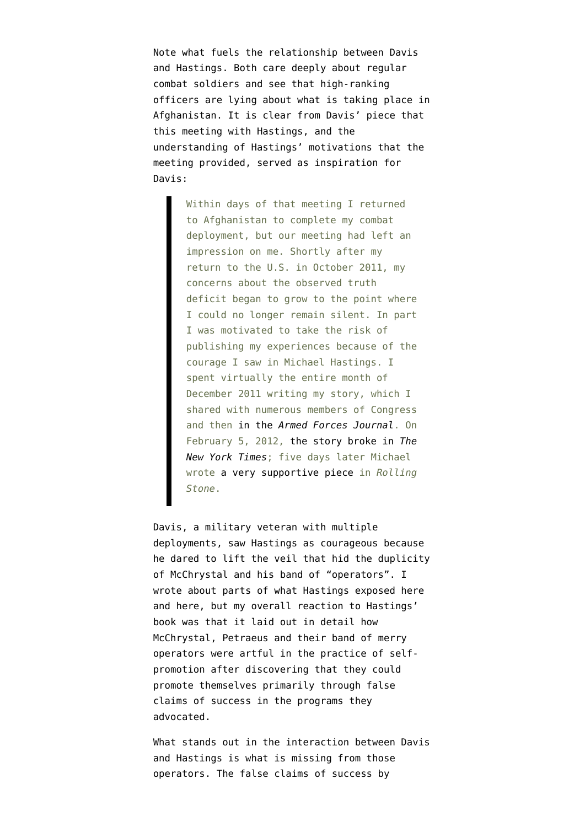Note what fuels the relationship between Davis and Hastings. Both care deeply about regular combat soldiers and see that high-ranking officers are lying about what is taking place in Afghanistan. It is clear from Davis' piece that this meeting with Hastings, and the understanding of Hastings' motivations that the meeting provided, served as inspiration for Davis:

> Within days of that meeting I returned to Afghanistan to complete my combat deployment, but our meeting had left an impression on me. Shortly after my return to the U.S. in October 2011, my concerns about the observed truth deficit began to grow to the point where I could no longer remain silent. In part I was motivated to take the risk of publishing my experiences because of the courage I saw in Michael Hastings. I spent virtually the entire month of December 2011 writing my story, which I shared with numerous members of Congress and then [in the](http://www.armedforcesjournal.com/2012/02/8904030) *[Armed Forces Journal](http://www.armedforcesjournal.com/2012/02/8904030)*. On February 5, 2012, [the story broke in](http://www.nytimes.com/2012/02/06/world/asia/army-colonel-challenges-pentagons-afghanistan-claims.html?pagewanted=all) *[The](http://www.nytimes.com/2012/02/06/world/asia/army-colonel-challenges-pentagons-afghanistan-claims.html?pagewanted=all) [New York Times](http://www.nytimes.com/2012/02/06/world/asia/army-colonel-challenges-pentagons-afghanistan-claims.html?pagewanted=all)*; five days later Michael wrote [a very supportive piece](http://www.rollingstone.com/politics/blogs/national-affairs/the-afghanistan-report-the-pentagon-doesnt-want-you-to-read-20120210) in *Rolling Stone*.

Davis, a military veteran with multiple deployments, saw Hastings as courageous because he dared to lift the veil that hid the duplicity of McChrystal and his band of "operators". I wrote about parts of what Hastings exposed [here](http://www.emptywheel.net/2012/01/04/intelligence-aide-flynn-re-mcchrystal-everyone-has-a-dark-side/) and [here,](http://www.emptywheel.net/2012/02/03/when-was-the-last-time-a-pope-was-shit-faced-drunk-on-the-streets-of-paris/) but my overall reaction to Hastings' book was that it laid out in detail how McChrystal, Petraeus and their band of merry operators were artful in the practice of selfpromotion after discovering that they could promote themselves primarily through false claims of success in the programs they advocated.

What stands out in the interaction between Davis and Hastings is what is missing from those operators. The false claims of success by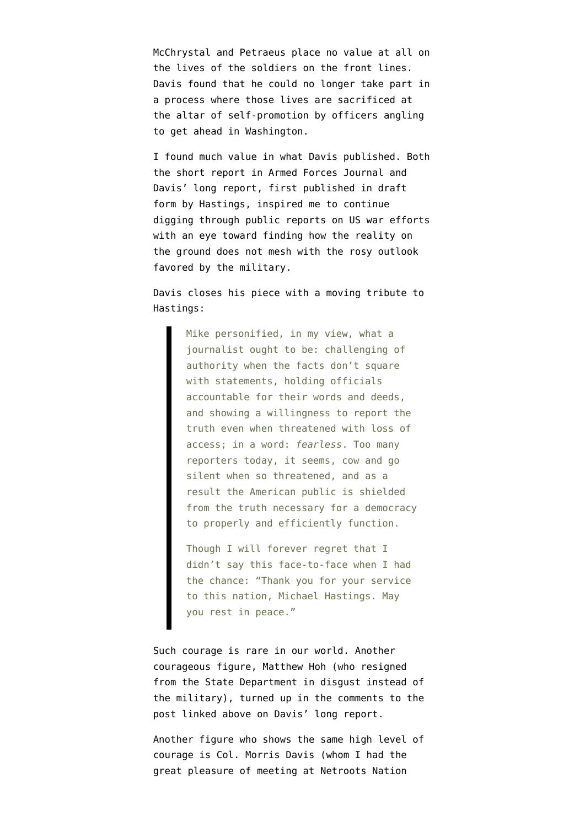McChrystal and Petraeus place no value at all on the lives of the soldiers on the front lines. Davis found that he could no longer take part in a process where those lives are sacrificed at the altar of self-promotion by officers angling to get ahead in Washington.

I found much value in what Davis published. Both the [short report in Armed Forces Journal](http://www.emptywheel.net/2012/02/06/col-davis-goes-to-washington-a-one-man-battle-for-truth-telling-about-afghanistan/) and [Davis' long report, first published in draft](http://www.emptywheel.net/2012/02/11/lt-col-daniel-davis-truth-telling-continues-long-report-published-by-rolling-stone/) [form by Hastings,](http://www.emptywheel.net/2012/02/11/lt-col-daniel-davis-truth-telling-continues-long-report-published-by-rolling-stone/) inspired me to continue digging through public reports on US war efforts with an eye toward finding how the reality on the ground does not mesh with the rosy outlook favored by the military.

Davis closes his piece with a moving tribute to Hastings:

> Mike personified, in my view, what a journalist ought to be: challenging of authority when the facts don't square with statements, holding officials accountable for their words and deeds, and showing a willingness to report the truth even when threatened with loss of access; in a word: *fearless*. Too many reporters today, it seems, cow and go silent when so threatened, and as a result the American public is shielded from the truth necessary for a democracy to properly and efficiently function.

Though I will forever regret that I didn't say this face-to-face when I had the chance: "Thank you for your service to this nation, Michael Hastings. May you rest in peace."

Such courage is rare in our world. Another courageous figure, Matthew Hoh (who resigned from the State Department in disgust instead of the military), turned up in the comments to the post linked above on Davis' long report.

Another figure who shows the same high level of courage is Col. Morris Davis (whom I had the great pleasure of meeting at Netroots Nation